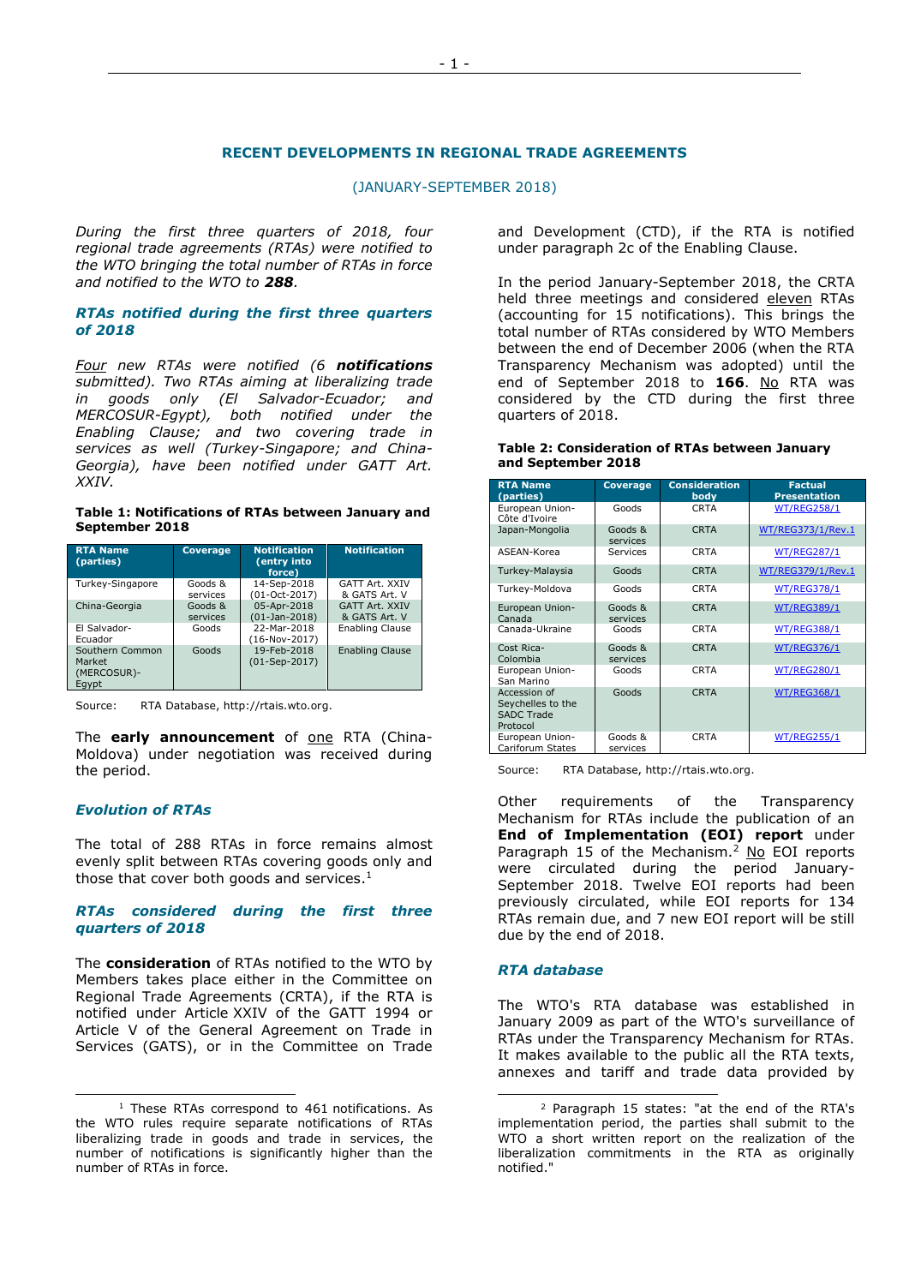#### **RECENT DEVELOPMENTS IN REGIONAL TRADE AGREEMENTS**

(JANUARY-SEPTEMBER 2018)

*During the first three quarters of 2018, four regional trade agreements (RTAs) were notified to the WTO bringing the total number of RTAs in force and notified to the WTO to 288.* 

#### *RTAs notified during the first three quarters of 2018*

*Four new RTAs were notified (6 notifications submitted). Two RTAs aiming at liberalizing trade in goods only (El Salvador-Ecuador; and MERCOSUR-Egypt), both notified under the Enabling Clause; and two covering trade in services as well (Turkey-Singapore; and China-Georgia), have been notified under GATT Art. XXIV.*

#### **Table 1: Notifications of RTAs between January and September 2018**

| <b>RTA Name</b><br>(parties)                      | <b>Coverage</b>     | <b>Notification</b><br>(entry into<br>force) | <b>Notification</b>             |
|---------------------------------------------------|---------------------|----------------------------------------------|---------------------------------|
| Turkey-Singapore                                  | Goods &<br>services | 14-Sep-2018<br>(01-Oct-2017)                 | GATT Art. XXIV<br>& GATS Art. V |
| China-Georgia                                     | Goods &<br>services | 05-Apr-2018<br>$(01-Ian-2018)$               | GATT Art. XXIV<br>& GATS Art. V |
| El Salvador-<br>Ecuador                           | Goods               | 22-Mar-2018<br>$(16-Nov-2017)$               | Enabling Clause                 |
| Southern Common<br>Market<br>(MERCOSUR)-<br>Eavpt | Goods               | 19-Feb-2018<br>$(01-Sep-2017)$               | <b>Enabling Clause</b>          |

Source: RTA Database[, http://rtais.wto.org.](http://rtais.wto.org/)

The **early announcement** of <u>one</u> RTA (China-Moldova) under negotiation was received during the period.

### *Evolution of RTAs*

ł

The total of 288 RTAs in force remains almost evenly split between RTAs covering goods only and those that cover both goods and services.<sup>1</sup>

#### *RTAs considered during the first three quarters of 2018*

The **consideration** of RTAs notified to the WTO by Members takes place either in the Committee on Regional Trade Agreements (CRTA), if the RTA is notified under Article XXIV of the GATT 1994 or Article V of the General Agreement on Trade in Services (GATS), or in the Committee on Trade and Development (CTD), if the RTA is notified under paragraph 2c of the Enabling Clause.

In the period January-September 2018, the CRTA held three meetings and considered eleven RTAs (accounting for 15 notifications). This brings the total number of RTAs considered by WTO Members between the end of December 2006 (when the RTA Transparency Mechanism was adopted) until the end of September 2018 to **166**. No RTA was considered by the CTD during the first three quarters of 2018.

#### **Table 2: Consideration of RTAs between January and September 2018**

| <b>RTA Name</b><br>(parties)                                       | <b>Coverage</b>     | <b>Consideration</b><br>body | <b>Factual</b><br><b>Presentation</b> |
|--------------------------------------------------------------------|---------------------|------------------------------|---------------------------------------|
| European Union-<br>Côte d'Ivoire                                   | Goods               | <b>CRTA</b>                  | <b>WT/REG258/1</b>                    |
| Japan-Mongolia                                                     | Goods &<br>services | <b>CRTA</b>                  | WT/REG373/1/Rev.1                     |
| ASEAN-Korea                                                        | Services            | <b>CRTA</b>                  | <b>WT/REG287/1</b>                    |
| Turkey-Malaysia                                                    | Goods               | <b>CRTA</b>                  | WT/REG379/1/Rev.1                     |
| Turkey-Moldova                                                     | Goods               | <b>CRTA</b>                  | <b>WT/REG378/1</b>                    |
| European Union-<br>Canada                                          | Goods &<br>services | <b>CRTA</b>                  | <b>WT/REG389/1</b>                    |
| Canada-Ukraine                                                     | Goods               | <b>CRTA</b>                  | <b>WT/REG388/1</b>                    |
| Cost Rica-<br>Colombia                                             | Goods &<br>services | <b>CRTA</b>                  | <b>WT/REG376/1</b>                    |
| European Union-<br>San Marino                                      | Goods               | <b>CRTA</b>                  | <b>WT/REG280/1</b>                    |
| Accession of<br>Seychelles to the<br><b>SADC Trade</b><br>Protocol | Goods               | <b>CRTA</b>                  | <b>WT/REG368/1</b>                    |
| European Union-<br>Cariforum States                                | Goods &<br>services | <b>CRTA</b>                  | <b>WT/REG255/1</b>                    |

Source: RTA Database, [http://rtais.wto.org.](http://rtais.wto.org/)

Other requirements of the Transparency Mechanism for RTAs include the publication of an **End of Implementation (EOI) report** under Paragraph 15 of the Mechanism.<sup>2</sup> No EOI reports were circulated during the period January-September 2018. Twelve EOI reports had been previously circulated, while EOI reports for 134 RTAs remain due, and 7 new EOI report will be still due by the end of 2018.

#### *RTA database*

-

The WTO's RTA database was established in January 2009 as part of the WTO's surveillance of RTAs under the Transparency Mechanism for RTAs. It makes available to the public all the RTA texts, annexes and tariff and trade data provided by

<sup>&</sup>lt;sup>1</sup> These RTAs correspond to 461 notifications. As the WTO rules require separate notifications of RTAs liberalizing trade in goods and trade in services, the number of notifications is significantly higher than the number of RTAs in force.

<sup>2</sup> Paragraph 15 states: "at the end of the RTA's implementation period, the parties shall submit to the WTO a short written report on the realization of the liberalization commitments in the RTA as originally notified."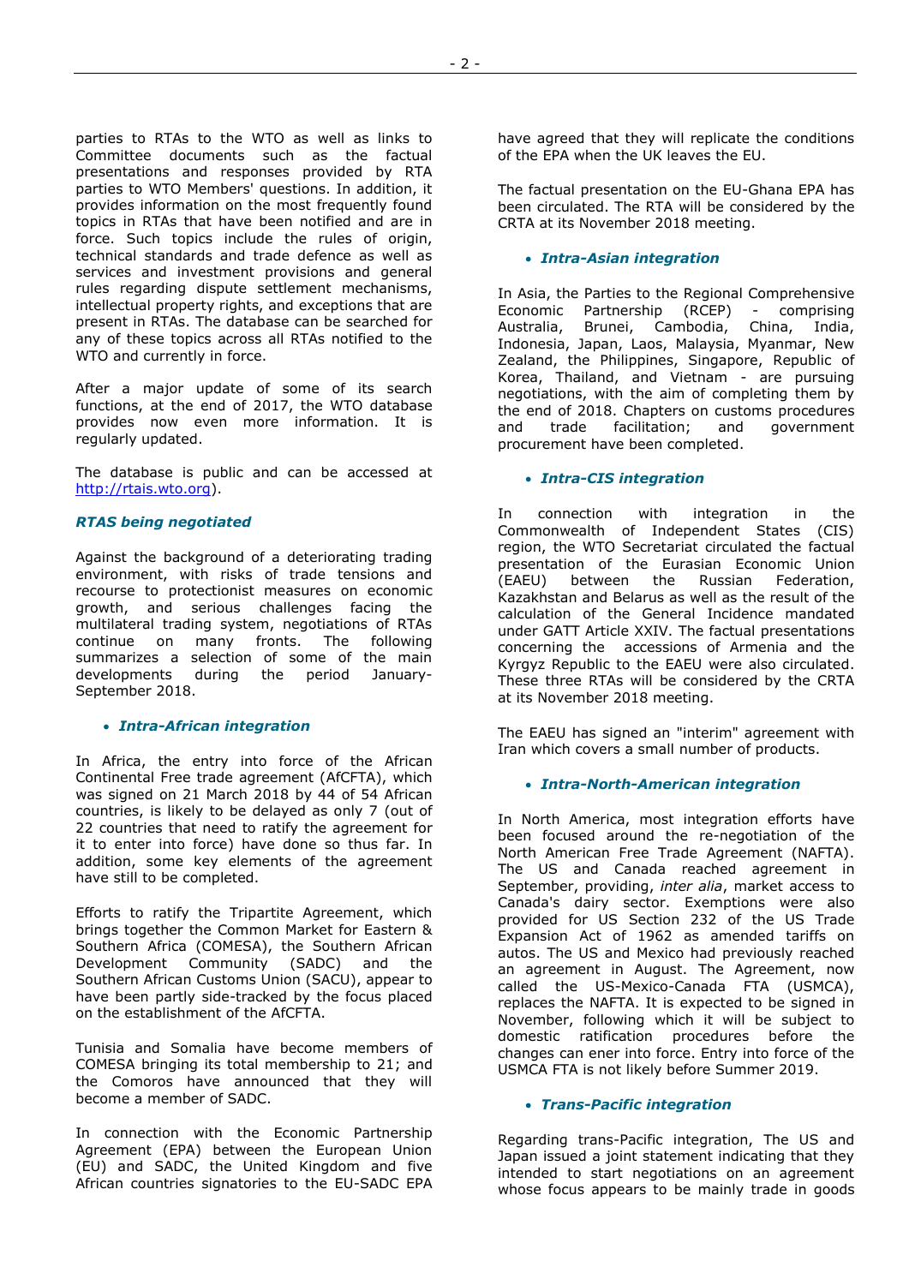parties to RTAs to the WTO as well as links to Committee documents such as the factual presentations and responses provided by RTA parties to WTO Members' questions. In addition, it provides information on the most frequently found topics in RTAs that have been notified and are in force. Such topics include the rules of origin, technical standards and trade defence as well as services and investment provisions and general rules regarding dispute settlement mechanisms, intellectual property rights, and exceptions that are present in RTAs. The database can be searched for any of these topics across all RTAs notified to the WTO and currently in force.

After a major update of some of its search functions, at the end of 2017, the WTO database provides now even more information. It is regularly updated.

The database is public and can be accessed at [http://rtais.wto.org\)](http://rtais.wto.org/).

### *RTAS being negotiated*

Against the background of a deteriorating trading environment, with risks of trade tensions and recourse to protectionist measures on economic growth, and serious challenges facing the multilateral trading system, negotiations of RTAs continue on many fronts. The following summarizes a selection of some of the main developments during the period January-September 2018.

## • *Intra-African integration*

In Africa, the entry into force of the African Continental Free trade agreement (AfCFTA), which was signed on 21 March 2018 by 44 of 54 African countries, is likely to be delayed as only 7 (out of 22 countries that need to ratify the agreement for it to enter into force) have done so thus far. In addition, some key elements of the agreement have still to be completed.

Efforts to ratify the Tripartite Agreement, which brings together the Common Market for Eastern & Southern Africa (COMESA), the Southern African Development Community (SADC) and the Southern African Customs Union (SACU), appear to have been partly side-tracked by the focus placed on the establishment of the AfCFTA.

Tunisia and Somalia have become members of COMESA bringing its total membership to 21; and the Comoros have announced that they will become a member of SADC.

In connection with the Economic Partnership Agreement (EPA) between the European Union (EU) and SADC, the United Kingdom and five African countries signatories to the EU-SADC EPA have agreed that they will replicate the conditions of the EPA when the UK leaves the EU.

The factual presentation on the EU-Ghana EPA has been circulated. The RTA will be considered by the CRTA at its November 2018 meeting.

# • *Intra-Asian integration*

In Asia, the Parties to the Regional Comprehensive Economic Partnership (RCEP) - comprising Australia, Brunei, Cambodia, China, India, Indonesia, Japan, Laos, Malaysia, Myanmar, New Zealand, the Philippines, Singapore, Republic of Korea, Thailand, and Vietnam - are pursuing negotiations, with the aim of completing them by the end of 2018. Chapters on customs procedures and trade facilitation; and government procurement have been completed.

## • *Intra-CIS integration*

In connection with integration in the Commonwealth of Independent States (CIS) region, the WTO Secretariat circulated the factual presentation of the Eurasian Economic Union (EAEU) between the Russian Federation, Kazakhstan and Belarus as well as the result of the calculation of the General Incidence mandated under GATT Article XXIV. The factual presentations concerning the accessions of Armenia and the Kyrgyz Republic to the EAEU were also circulated. These three RTAs will be considered by the CRTA at its November 2018 meeting.

The EAEU has signed an "interim" agreement with Iran which covers a small number of products.

## • *Intra-North-American integration*

In North America, most integration efforts have been focused around the re-negotiation of the North American Free Trade Agreement (NAFTA). The US and Canada reached agreement in September, providing, *inter alia*, market access to Canada's dairy sector. Exemptions were also provided for US Section 232 of the US Trade Expansion Act of 1962 as amended tariffs on autos. The US and Mexico had previously reached an agreement in August. The Agreement, now called the US-Mexico-Canada FTA (USMCA), replaces the NAFTA. It is expected to be signed in November, following which it will be subject to domestic ratification procedures before the changes can ener into force. Entry into force of the USMCA FTA is not likely before Summer 2019.

## • *Trans-Pacific integration*

Regarding trans-Pacific integration, The US and Japan issued a joint statement indicating that they intended to start negotiations on an agreement whose focus appears to be mainly trade in goods